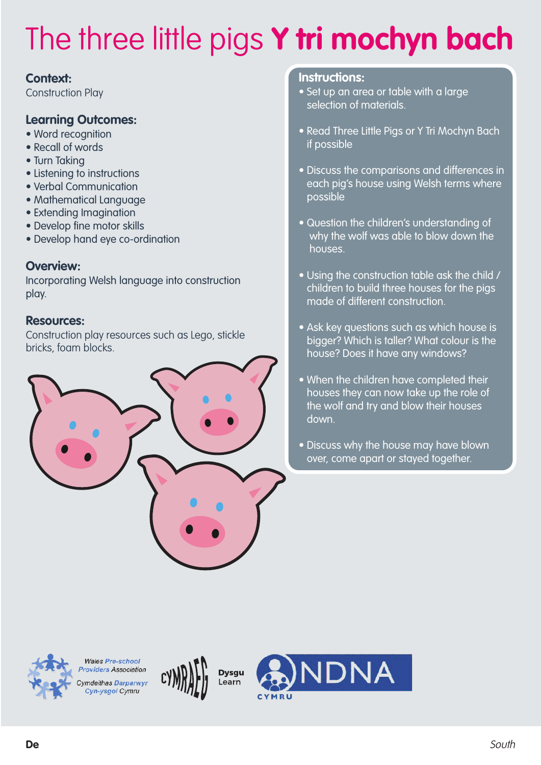### **Context:**

Construction Play

### **Learning Outcomes:**

- Word recognition
- Recall of words
- Turn Taking
- Listening to instructions
- Verbal Communication
- Mathematical Language
- Extending Imagination
- Develop fine motor skills
- Develop hand eye co-ordination

### **Overview:**

Incorporating Welsh language into construction play.

#### **Resources:**

Construction play resources such as Lego, stickle bricks, foam blocks.



#### **Instructions:**

- Set up an area or table with a large selection of materials.
- Read Three Little Pigs or Y Tri Mochyn Bach if possible
- Discuss the comparisons and differences in each pig's house using Welsh terms where possible
- Question the children's understanding of why the wolf was able to blow down the houses.
- Using the construction table ask the child / children to build three houses for the pigs made of different construction.
- Ask key questions such as which house is bigger? Which is taller? What colour is the house? Does it have any windows?
- When the children have completed their houses they can now take up the role of the wolf and try and blow their houses down.
- Discuss why the house may have blown over, come apart or stayed together.



**Wales Pre-school** Providers Association vmdeithas Darparwyr Cyn-ysgol Cymru



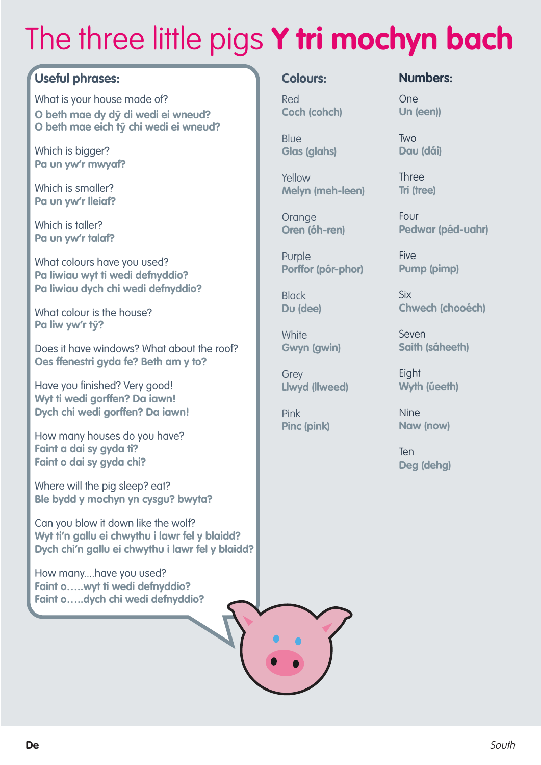### **Useful phrases:**

What is your house made of? **O beth mae dy d**ŷ **di wedi ei wneud? O beth mae eich t**ŷ **chi wedi ei wneud?**

Which is bigger? **Pa un yw'r mwyaf?**

Which is smaller? **Pa un yw'r lleiaf?**

Which is taller? **Pa un yw'r talaf?**

What colours have you used? **Pa liwiau wyt ti wedi defnyddio? Pa liwiau dych chi wedi defnyddio?**

What colour is the house? **Pa liw yw'r t**ŷ**?**

Does it have windows? What about the roof? **Oes ffenestri gyda fe? Beth am y to?**

Have you finished? Very good! **Wyt ti wedi gorffen? Da iawn! Dych chi wedi gorffen? Da iawn!**

How many houses do you have? **Faint a dai sy gyda ti? Faint o dai sy gyda chi?**

Where will the pig sleep? eat? **Ble bydd y mochyn yn cysgu? bwyta?**

Can you blow it down like the wolf? **Wyt ti'n gallu ei chwythu i lawr fel y blaidd? Dych chi'n gallu ei chwythu i lawr fel y blaidd?**

How many....have you used? **Faint o…..wyt ti wedi defnyddio? Faint o…..dych chi wedi defnyddio?**

#### **Colours:**

Red **Coch (cohch)**

**Blue Glas (glahs)**

Yellow **Melyn (meh-leen)**

**Orange Oren (óh-ren)**

Purple **Porffor (pór-phor)**

Black **Du (dee)**

**White Gwyn (gwin)**

**Grev Llwyd (llweed)**

Pink **Pinc (pink)** **Numbers:**

One **Un (een))**

Two **Dau (dái)**

Three **Tri (tree)**

Four **Pedwar (péd-uahr)**

**Five Pump (pimp)**

Six **Chwech (chooéch)**

Seven **Saith (sáheeth)**

**Eight Wyth (úeeth)**

Nine **Naw (now)**

Ten **Deg (dehg)**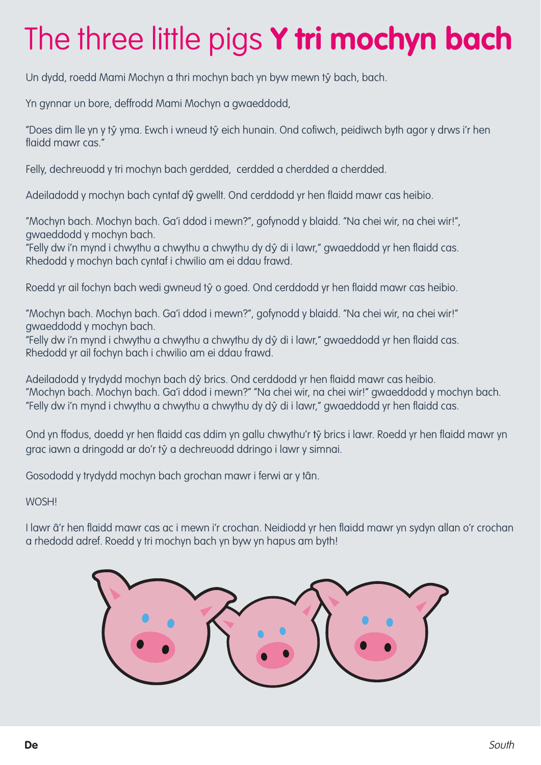Un dydd, roedd Mami Mochyn a thri mochyn bach yn byw mewn tŷ bach, bach.

Yn gynnar un bore, deffrodd Mami Mochyn a gwaeddodd,

"Does dim lle yn y tŷ yma. Ewch i wneud tŷ eich hunain. Ond cofiwch, peidiwch byth agor y drws i'r hen flaidd mawr cas."

Felly, dechreuodd y tri mochyn bach gerdded, cerdded a cherdded a cherdded.

Adeiladodd y mochyn bach cyntaf dŷ gwellt. Ond cerddodd yr hen flaidd mawr cas heibio.

"Mochyn bach. Mochyn bach. Ga'i ddod i mewn?", gofynodd y blaidd. "Na chei wir, na chei wir!", gwaeddodd y mochyn bach.

"Felly dw i'n mynd i chwythu a chwythu a chwythu dy dŷ di i lawr," gwaeddodd yr hen flaidd cas. Rhedodd y mochyn bach cyntaf i chwilio am ei ddau frawd.

Roedd yr ail fochyn bach wedi gwneud tŷ o goed. Ond cerddodd yr hen flaidd mawr cas heibio.

"Mochyn bach. Mochyn bach. Ga'i ddod i mewn?", gofynodd y blaidd. "Na chei wir, na chei wir!" gwaeddodd y mochyn bach.

"Felly dw i'n mynd i chwythu a chwythu a chwythu dy dŷ di i lawr," gwaeddodd yr hen flaidd cas. Rhedodd yr ail fochyn bach i chwilio am ei ddau frawd.

Adeiladodd y trydydd mochyn bach dŷ brics. Ond cerddodd yr hen flaidd mawr cas heibio. "Mochyn bach. Mochyn bach. Ga'i ddod i mewn?" "Na chei wir, na chei wir!" gwaeddodd y mochyn bach. "Felly dw i'n mynd i chwythu a chwythu a chwythu dy dŷ di i lawr," gwaeddodd yr hen flaidd cas.

Ond yn ffodus, doedd yr hen flaidd cas ddim yn gallu chwythu'r tŷ brics i lawr. Roedd yr hen flaidd mawr yn grac iawn a dringodd ar do'r tŷ a dechreuodd ddringo i lawr y simnai.

Gosododd y trydydd mochyn bach grochan mawr i ferwi ar y tân.

WOSH!

I lawr â'r hen flaidd mawr cas ac i mewn i'r crochan. Neidiodd yr hen flaidd mawr yn sydyn allan o'r crochan a rhedodd adref. Roedd y tri mochyn bach yn byw yn hapus am byth!